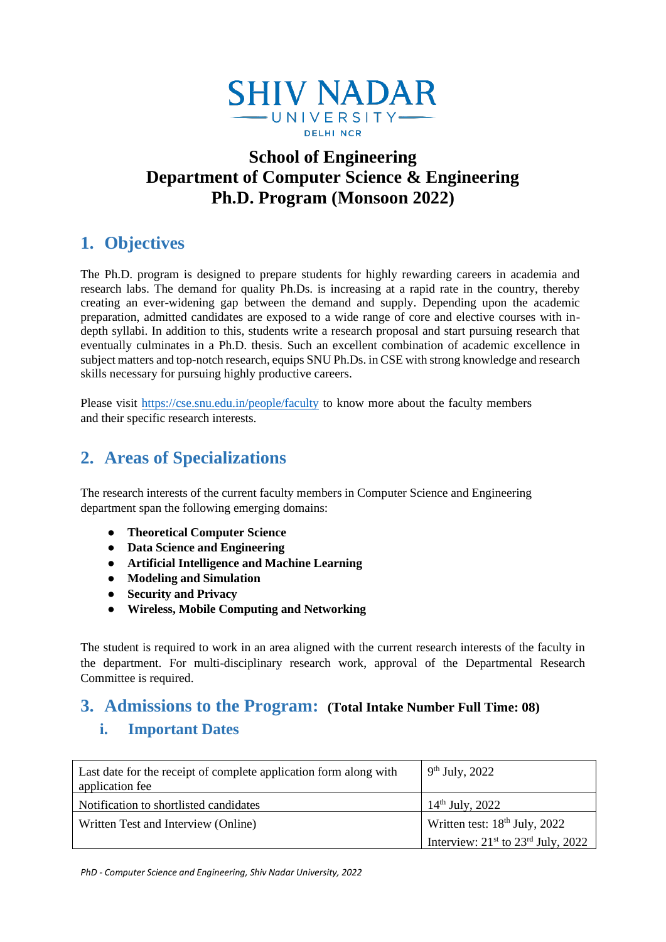

# **School of Engineering Department of Computer Science & Engineering Ph.D. Program (Monsoon 2022)**

# **1. Objectives**

The Ph.D. program is designed to prepare students for highly rewarding careers in academia and research labs. The demand for quality Ph.Ds. is increasing at a rapid rate in the country, thereby creating an ever-widening gap between the demand and supply. Depending upon the academic preparation, admitted candidates are exposed to a wide range of core and elective courses with indepth syllabi. In addition to this, students write a research proposal and start pursuing research that eventually culminates in a Ph.D. thesis. Such an excellent combination of academic excellence in subject matters and top-notch research, equips SNU Ph.Ds. in CSE with strong knowledge and research skills necessary for pursuing highly productive careers.

Please visit<https://cse.snu.edu.in/people/faculty> to know more about the faculty members and their specific research interests.

## **2. Areas of Specializations**

The research interests of the current faculty members in Computer Science and Engineering department span the following emerging domains:

- **Theoretical Computer Science**
- **Data Science and Engineering**
- **Artificial Intelligence and Machine Learning**
- **Modeling and Simulation**
- **Security and Privacy**
- **Wireless, Mobile Computing and Networking**

The student is required to work in an area aligned with the current research interests of the faculty in the department. For multi-disciplinary research work, approval of the Departmental Research Committee is required.

## **3. Admissions to the Program: (Total Intake Number Full Time: 08)**

### **i. Important Dates**

| Last date for the receipt of complete application form along with<br>application fee | $9th$ July, 2022                       |
|--------------------------------------------------------------------------------------|----------------------------------------|
| Notification to shortlisted candidates                                               | $14th$ July, 2022                      |
| Written Test and Interview (Online)                                                  | Written test: $18th$ July, 2022        |
|                                                                                      | Interview: $21st$ to $23rd$ July, 2022 |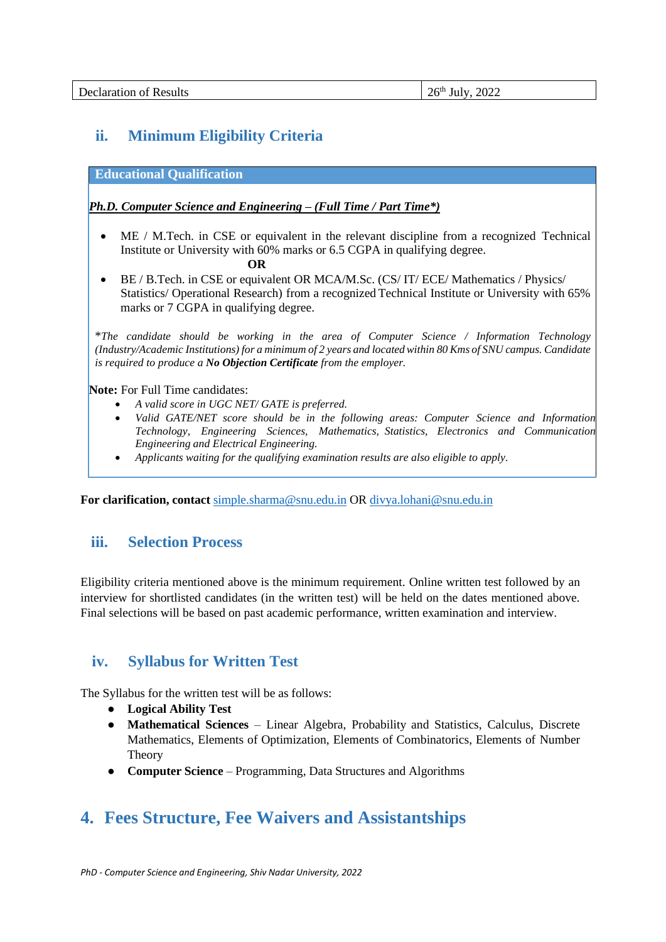| <b>Declaration of Results</b> | 2022<br>26 <sup>th</sup><br>July |
|-------------------------------|----------------------------------|
|-------------------------------|----------------------------------|

## **ii. Minimum Eligibility Criteria**

**Educational Qualification**

#### *Ph.D. Computer Science and Engineering – (Full Time / Part Time\*)*

- ME / M.Tech. in CSE or equivalent in the relevant discipline from a recognized Technical Institute or University with 60% marks or 6.5 CGPA in qualifying degree. **OR**
- BE / B. Tech. in CSE or equivalent OR MCA/M.Sc. (CS/ IT/ ECE/ Mathematics / Physics/ Statistics/ Operational Research) from a recognized Technical Institute or University with 65% marks or 7 CGPA in qualifying degree.

\**The candidate should be working in the area of Computer Science / Information Technology (Industry/Academic Institutions) for a minimum of 2 years and locatedwithin 80 Kms of SNU campus. Candidate is required to produce a No Objection Certificate from the employer.*

**Note:** For Full Time candidates:

- *A valid score in UGC NET/ GATE is preferred.*
- *Valid GATE/NET score should be in the following areas: Computer Science and Information Technology, Engineering Sciences, Mathematics, Statistics, Electronics and Communication Engineering and Electrical Engineering.*
- *Applicants waiting for the qualifying examination results are also eligible to apply.*

**For clarification, contact** [simple.sharma@snu.edu.in](mailto:simple.sharma@snu.edu.in) OR [divya.lohani@snu.edu.in](mailto:divya.lohani@snu.edu.in)

### **iii. Selection Process**

Eligibility criteria mentioned above is the minimum requirement. Online written test followed by an interview for shortlisted candidates (in the written test) will be held on the dates mentioned above. Final selections will be based on past academic performance, written examination and interview.

### **iv. Syllabus for Written Test**

The Syllabus for the written test will be as follows:

- **Logical Ability Test**
- **Mathematical Sciences** Linear Algebra, Probability and Statistics, Calculus, Discrete Mathematics, Elements of Optimization, Elements of Combinatorics, Elements of Number Theory
- **Computer Science** Programming, Data Structures and Algorithms

## **4. Fees Structure, Fee Waivers and Assistantships**